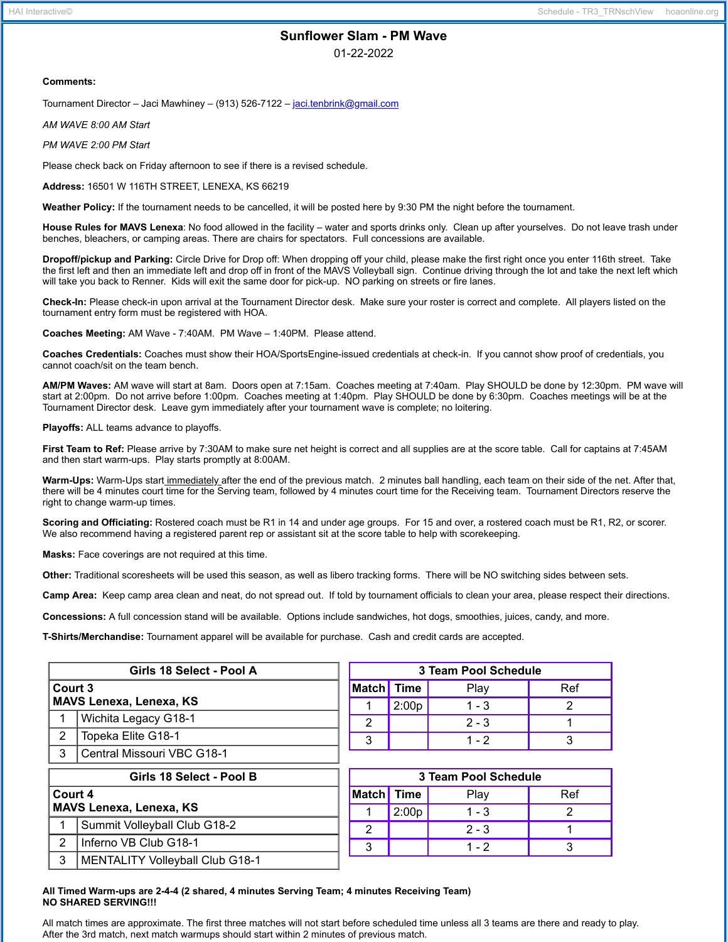# **Sunflower Slam - PM Wave**

01-22-2022

#### **Comments:**

Tournament Director – Jaci Mawhiney – (913) 526-7122 – [jaci.tenbrink@gmail.com](mailto:jaci.tenbrink@gmail.com)

*AM WAVE 8:00 AM Start*

*PM WAVE 2:00 PM Start*

Please check back on Friday afternoon to see if there is a revised schedule.

**Address:** 16501 W 116TH STREET, LENEXA, KS 66219

**Weather Policy:** If the tournament needs to be cancelled, it will be posted here by 9:30 PM the night before the tournament.

**House Rules for MAVS Lenexa**: No food allowed in the facility – water and sports drinks only. Clean up after yourselves. Do not leave trash under benches, bleachers, or camping areas. There are chairs for spectators. Full concessions are available.

**Dropoff/pickup and Parking:** Circle Drive for Drop off: When dropping off your child, please make the first right once you enter 116th street. Take the first left and then an immediate left and drop off in front of the MAVS Volleyball sign. Continue driving through the lot and take the next left which will take you back to Renner. Kids will exit the same door for pick-up. NO parking on streets or fire lanes.

**Check-In:** Please check-in upon arrival at the Tournament Director desk. Make sure your roster is correct and complete. All players listed on the tournament entry form must be registered with HOA.

**Coaches Meeting:** AM Wave - 7:40AM. PM Wave – 1:40PM. Please attend.

**Coaches Credentials:** Coaches must show their HOA/SportsEngine-issued credentials at check-in. If you cannot show proof of credentials, you cannot coach/sit on the team bench.

**AM/PM Waves:** AM wave will start at 8am. Doors open at 7:15am. Coaches meeting at 7:40am. Play SHOULD be done by 12:30pm. PM wave will start at 2:00pm. Do not arrive before 1:00pm. Coaches meeting at 1:40pm. Play SHOULD be done by 6:30pm. Coaches meetings will be at the Tournament Director desk. Leave gym immediately after your tournament wave is complete; no loitering.

**Playoffs:** ALL teams advance to playoffs.

**First Team to Ref:** Please arrive by 7:30AM to make sure net height is correct and all supplies are at the score table. Call for captains at 7:45AM and then start warm-ups. Play starts promptly at 8:00AM.

**Warm-Ups:** Warm-Ups start immediately after the end of the previous match. 2 minutes ball handling, each team on their side of the net. After that, there will be 4 minutes court time for the Serving team, followed by 4 minutes court time for the Receiving team. Tournament Directors reserve the right to change warm-up times.

**Scoring and Officiating:** Rostered coach must be R1 in 14 and under age groups. For 15 and over, a rostered coach must be R1, R2, or scorer. We also recommend having a registered parent rep or assistant sit at the score table to help with scorekeeping.

**Masks:** Face coverings are not required at this time.

**Other:** Traditional scoresheets will be used this season, as well as libero tracking forms. There will be NO switching sides between sets.

**Camp Area:** Keep camp area clean and neat, do not spread out. If told by tournament officials to clean your area, please respect their directions.

**Concessions:** A full concession stand will be available. Options include sandwiches, hot dogs, smoothies, juices, candy, and more.

**T-Shirts/Merchandise:** Tournament apparel will be available for purchase. Cash and credit cards are accepted.

| Girls 18 Select - Pool A       |                            | 3 Team Pool Schedule |       |         |     |
|--------------------------------|----------------------------|----------------------|-------|---------|-----|
| Court 3                        |                            | <b>Match</b> Time    |       | Plav    | Ref |
| <b>MAVS Lenexa, Lenexa, KS</b> |                            |                      | 2:00p | $1 - 3$ |     |
|                                | Wichita Legacy G18-1       | c                    |       | $2 - 3$ |     |
| っ                              | Topeka Elite G18-1         | ົ                    |       | $1 - 2$ |     |
| 3                              | Central Missouri VBC G18-1 |                      |       |         |     |

| Girls 18 Select - Pool B       |                                        | 3 Team Pool Schedule |       |         |     |  |
|--------------------------------|----------------------------------------|----------------------|-------|---------|-----|--|
| Court 4                        |                                        | Match Time           |       | Play    | Ref |  |
| <b>MAVS Lenexa, Lenexa, KS</b> |                                        |                      | 2:00p | $1 - 3$ |     |  |
|                                | Summit Volleyball Club G18-2           | ົ                    |       | $2 - 3$ |     |  |
| $\mathcal{P}$                  | Inferno VB Club G18-1                  | 2<br>w               |       | $1 - 2$ |     |  |
| 3                              | <b>MENTALITY Volleyball Club G18-1</b> |                      |       |         |     |  |

#### **All Timed Warm-ups are 2-4-4 (2 shared, 4 minutes Serving Team; 4 minutes Receiving Team) NO SHARED SERVING!!!**

All match times are approximate. The first three matches will not start before scheduled time unless all 3 teams are there and ready to play. After the 3rd match, next match warmups should start within 2 minutes of previous match.